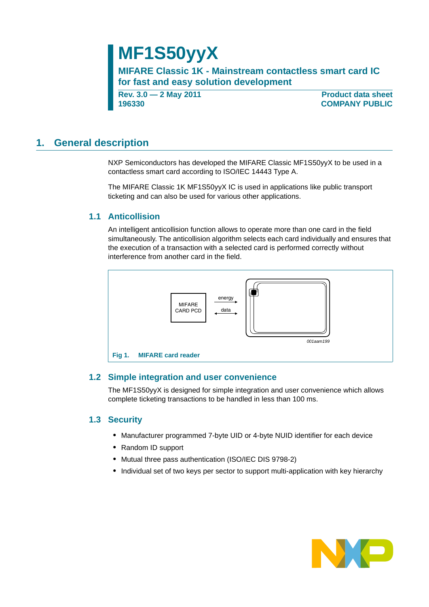# **MF1S50yyX**

**MIFARE Classic 1K - Mainstream contactless smart card IC for fast and easy solution development**

**Rev. 3.0 — 2 May 2011 196330**

**Product data sheet COMPANY PUBLIC**

# <span id="page-0-1"></span>**1. General description**

NXP Semiconductors has developed the MIFARE Classic MF1S50yyX to be used in a contactless smart card according to ISO/IEC 14443 Type A.

The MIFARE Classic 1K MF1S50yyX IC is used in applications like public transport ticketing and can also be used for various other applications.

### <span id="page-0-2"></span>**1.1 Anticollision**

An intelligent anticollision function allows to operate more than one card in the field simultaneously. The anticollision algorithm selects each card individually and ensures that the execution of a transaction with a selected card is performed correctly without interference from another card in the field.



### <span id="page-0-3"></span><span id="page-0-0"></span>**1.2 Simple integration and user convenience**

The MF1S50yyX is designed for simple integration and user convenience which allows complete ticketing transactions to be handled in less than 100 ms.

### <span id="page-0-4"></span>**1.3 Security**

- **•** Manufacturer programmed 7-byte UID or 4-byte NUID identifier for each device
- **•** Random ID support
- **•** Mutual three pass authentication (ISO/IEC DIS 9798-2)
- **•** Individual set of two keys per sector to support multi-application with key hierarchy

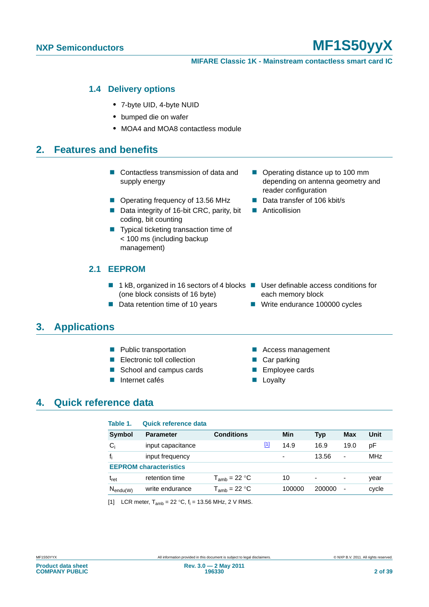#### **MIFARE Classic 1K - Mainstream contactless smart card IC**

#### <span id="page-1-2"></span>**1.4 Delivery options**

- **•** 7-byte UID, 4-byte NUID
- **•** bumped die on wafer
- **•** MOA4 and MOA8 contactless module

## <span id="page-1-3"></span>**2. Features and benefits**

- Contactless transmission of data and supply energy
- Operating frequency of 13.56 MHz Data transfer of 106 kbit/s
- Data integrity of 16-bit CRC, parity, bit coding, bit counting
- Typical ticketing transaction time of < 100 ms (including backup management)

### <span id="page-1-4"></span>**2.1 EEPROM**

- 1 kB, organized in 16 sectors of 4 blocks User definable access conditions for (one block consists of 16 byte)
- Data retention time of 10 years Write endurance 100000 cycles

# <span id="page-1-5"></span>**3. Applications**

- 
- Electronic toll collection **Car parking**
- School and campus cards Employee cards
- Internet cafés 
Loyalty
- Operating distance up to 100 mm depending on antenna geometry and reader configuration
- 
- **Anticollision**

- each memory block
- 
- **Public transportation Access management** 
	-
	-
	-

# <span id="page-1-6"></span>**4. Quick reference data**

<span id="page-1-1"></span>

| Table 1.      | Quick reference data          |                   |             |        |            |                          |            |
|---------------|-------------------------------|-------------------|-------------|--------|------------|--------------------------|------------|
| Symbol        | <b>Parameter</b>              | <b>Conditions</b> |             | Min    | <b>Typ</b> | Max                      | Unit       |
| $C_i$         | input capacitance             |                   | $\boxed{1}$ | 14.9   | 16.9       | 19.0                     | рF         |
|               | input frequency               |                   |             | ۰      | 13.56      | -                        | <b>MHz</b> |
|               | <b>EEPROM</b> characteristics |                   |             |        |            |                          |            |
| $t_{\sf ret}$ | retention time                | $T_{amb}$ = 22 °C |             | 10     | ٠          | ٠                        | year       |
| $N_{endu(W)}$ | write endurance               | $T_{amb}$ = 22 °C |             | 100000 | 200000     | $\overline{\phantom{a}}$ | cycle      |

<span id="page-1-0"></span>[1] LCR meter,  $T_{amb} = 22 °C$ ,  $f_i = 13.56$  MHz, 2 V RMS.

**Product data sheet COMPANY PUBLIC**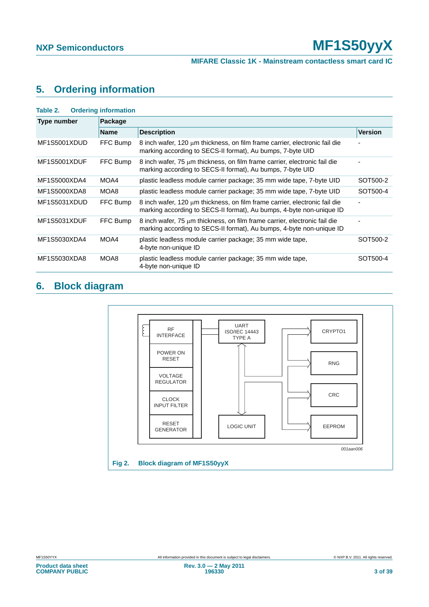# <span id="page-2-2"></span>**5. Ordering information**

<span id="page-2-0"></span>

| Table 2.     | <b>Ordering information</b> |                                                                                                                                                           |                |
|--------------|-----------------------------|-----------------------------------------------------------------------------------------------------------------------------------------------------------|----------------|
| Type number  | Package                     |                                                                                                                                                           |                |
|              | <b>Name</b>                 | <b>Description</b>                                                                                                                                        | <b>Version</b> |
| MF1S5001XDUD | FFC Bump                    | $8$ inch wafer, 120 $\mu$ m thickness, on film frame carrier, electronic fail die<br>marking according to SECS-II format), Au bumps, 7-byte UID           |                |
| MF1S5001XDUF | FFC Bump                    | 8 inch wafer, $75 \mu m$ thickness, on film frame carrier, electronic fail die<br>marking according to SECS-II format), Au bumps, 7-byte UID              |                |
| MF1S5000XDA4 | MOA4                        | plastic leadless module carrier package; 35 mm wide tape, 7-byte UID                                                                                      | SOT500-2       |
| MF1S5000XDA8 | MOA8                        | plastic leadless module carrier package; 35 mm wide tape, 7-byte UID                                                                                      | SOT500-4       |
| MF1S5031XDUD | FFC Bump                    | $8$ inch wafer, 120 $\mu$ m thickness, on film frame carrier, electronic fail die<br>marking according to SECS-II format), Au bumps, 4-byte non-unique ID |                |
| MF1S5031XDUF | FFC Bump                    | 8 inch wafer, 75 $\mu$ m thickness, on film frame carrier, electronic fail die<br>marking according to SECS-II format), Au bumps, 4-byte non-unique ID    |                |
| MF1S5030XDA4 | MOA4                        | plastic leadless module carrier package; 35 mm wide tape,<br>4-byte non-unique ID                                                                         | SOT500-2       |
| MF1S5030XDA8 | MOA8                        | plastic leadless module carrier package; 35 mm wide tape,<br>4-byte non-unique ID                                                                         | SOT500-4       |

# <span id="page-2-3"></span>**6. Block diagram**

<span id="page-2-1"></span>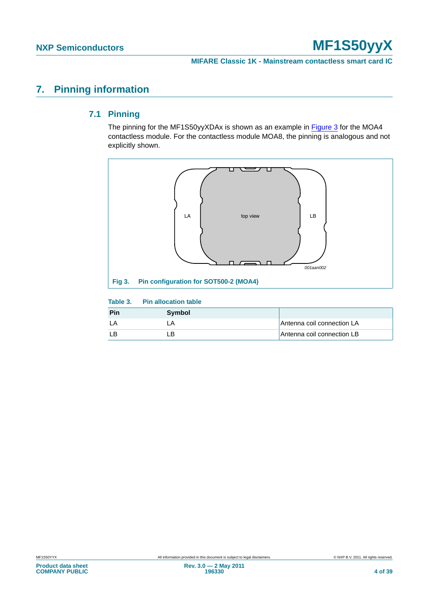# <span id="page-3-3"></span><span id="page-3-2"></span>**7. Pinning information**

### **7.1 Pinning**

The pinning for the MF1S50yyXDAx is shown as an example in [Figure 3](#page-3-0) for the MOA4 contactless module. For the contactless module MOA8, the pinning is analogous and not explicitly shown.



#### <span id="page-3-1"></span><span id="page-3-0"></span>**Table 3. Pin allocation table**

| Pin | Symbol |                            |
|-----|--------|----------------------------|
|     |        | Antenna coil connection LA |
|     | - P    | Antenna coil connection LB |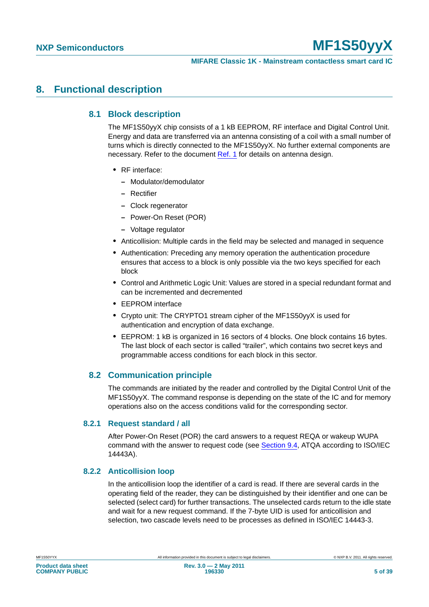# <span id="page-4-2"></span><span id="page-4-1"></span>**8. Functional description**

### **8.1 Block description**

The MF1S50yyX chip consists of a 1 kB EEPROM, RF interface and Digital Control Unit. Energy and data are transferred via an antenna consisting of a coil with a small number of turns which is directly connected to the MF1S50yyX. No further external components are necessary. Refer to the document [Ref. 1](#page-32-0) for details on antenna design.

- **•** RF interface:
	- **–** Modulator/demodulator
	- **–** Rectifier
	- **–** Clock regenerator
	- **–** Power-On Reset (POR)
	- **–** Voltage regulator
- **•** Anticollision: Multiple cards in the field may be selected and managed in sequence
- **•** Authentication: Preceding any memory operation the authentication procedure ensures that access to a block is only possible via the two keys specified for each block
- **•** Control and Arithmetic Logic Unit: Values are stored in a special redundant format and can be incremented and decremented
- **•** EEPROM interface
- **•** Crypto unit: The CRYPTO1 stream cipher of the MF1S50yyX is used for authentication and encryption of data exchange.
- **•** EEPROM: 1 kB is organized in 16 sectors of 4 blocks. One block contains 16 bytes. The last block of each sector is called "trailer", which contains two secret keys and programmable access conditions for each block in this sector.

### <span id="page-4-0"></span>**8.2 Communication principle**

The commands are initiated by the reader and controlled by the Digital Control Unit of the MF1S50yyX. The command response is depending on the state of the IC and for memory operations also on the access conditions valid for the corresponding sector.

#### <span id="page-4-3"></span>**8.2.1 Request standard / all**

After Power-On Reset (POR) the card answers to a request REQA or wakeup WUPA command with the answer to request code (see [Section 9.4,](#page-16-0) ATQA according to ISO/IEC 14443A).

#### <span id="page-4-4"></span>**8.2.2 Anticollision loop**

In the anticollision loop the identifier of a card is read. If there are several cards in the operating field of the reader, they can be distinguished by their identifier and one can be selected (select card) for further transactions. The unselected cards return to the idle state and wait for a new request command. If the 7-byte UID is used for anticollision and selection, two cascade levels need to be processes as defined in ISO/IEC 14443-3.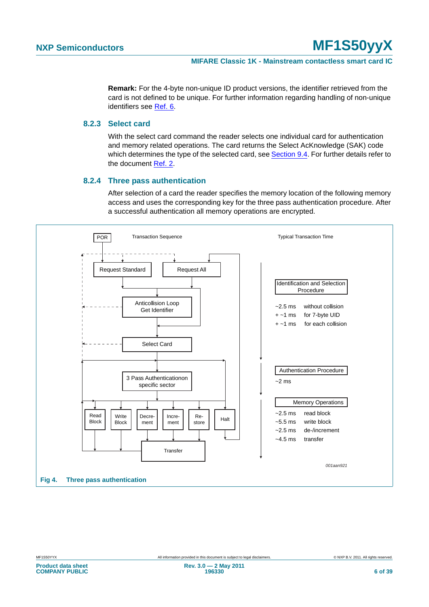**Remark:** For the 4-byte non-unique ID product versions, the identifier retrieved from the card is not defined to be unique. For further information regarding handling of non-unique identifiers see [Ref. 6](#page-32-1).

#### <span id="page-5-1"></span>**8.2.3 Select card**

With the select card command the reader selects one individual card for authentication and memory related operations. The card returns the Select AcKnowledge (SAK) code which determines the type of the selected card, see [Section 9.4.](#page-16-0) For further details refer to the document [Ref. 2](#page-32-2).

#### **8.2.4 Three pass authentication**

After selection of a card the reader specifies the memory location of the following memory access and uses the corresponding key for the three pass authentication procedure. After a successful authentication all memory operations are encrypted.

<span id="page-5-2"></span><span id="page-5-0"></span>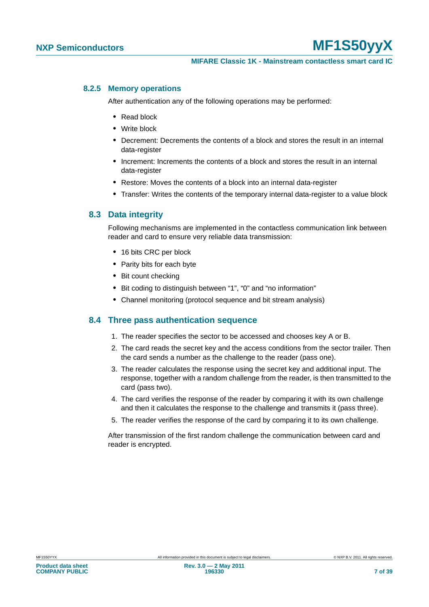#### <span id="page-6-0"></span>**8.2.5 Memory operations**

After authentication any of the following operations may be performed:

- **•** Read block
- **•** Write block
- **•** Decrement: Decrements the contents of a block and stores the result in an internal data-register
- **•** Increment: Increments the contents of a block and stores the result in an internal data-register
- **•** Restore: Moves the contents of a block into an internal data-register
- Transfer: Writes the contents of the temporary internal data-register to a value block

#### <span id="page-6-1"></span>**8.3 Data integrity**

Following mechanisms are implemented in the contactless communication link between reader and card to ensure very reliable data transmission:

- **•** 16 bits CRC per block
- **•** Parity bits for each byte
- **•** Bit count checking
- **•** Bit coding to distinguish between "1", "0" and "no information"
- **•** Channel monitoring (protocol sequence and bit stream analysis)

#### <span id="page-6-2"></span>**8.4 Three pass authentication sequence**

- 1. The reader specifies the sector to be accessed and chooses key A or B.
- 2. The card reads the secret key and the access conditions from the sector trailer. Then the card sends a number as the challenge to the reader (pass one).
- 3. The reader calculates the response using the secret key and additional input. The response, together with a random challenge from the reader, is then transmitted to the card (pass two).
- 4. The card verifies the response of the reader by comparing it with its own challenge and then it calculates the response to the challenge and transmits it (pass three).
- 5. The reader verifies the response of the card by comparing it to its own challenge.

After transmission of the first random challenge the communication between card and reader is encrypted.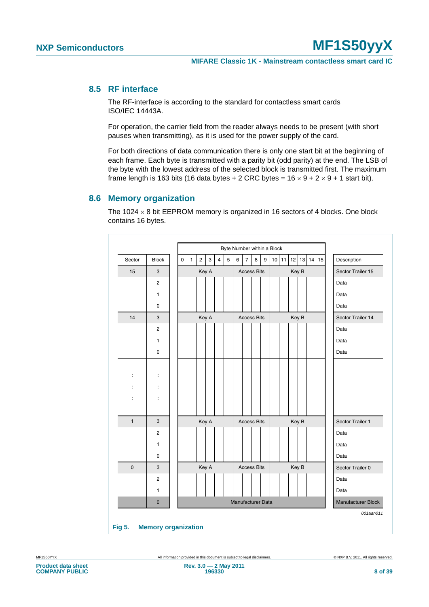### <span id="page-7-1"></span>**8.5 RF interface**

The RF-interface is according to the standard for contactless smart cards ISO/IEC 14443A.

For operation, the carrier field from the reader always needs to be present (with short pauses when transmitting), as it is used for the power supply of the card.

For both directions of data communication there is only one start bit at the beginning of each frame. Each byte is transmitted with a parity bit (odd parity) at the end. The LSB of the byte with the lowest address of the selected block is transmitted first. The maximum frame length is 163 bits (16 data bytes + 2 CRC bytes =  $16 \times 9 + 2 \times 9 + 1$  start bit).

#### <span id="page-7-2"></span>**8.6 Memory organization**

The 1024  $\times$  8 bit EEPROM memory is organized in 16 sectors of 4 blocks. One block contains 16 bytes.

| Sector               | <b>Block</b>         | $\mathsf 0$ | $\mathbf{1}$ | $\overline{\mathbf{c}}$ | 3 | $\overline{4}$ | 5 | 6 | $\overline{7}$              | $\bf8$             | 9 | 10 11 |  | 12 13 |  | $14$ 15           | Description        |
|----------------------|----------------------|-------------|--------------|-------------------------|---|----------------|---|---|-----------------------------|--------------------|---|-------|--|-------|--|-------------------|--------------------|
| 15                   | 3                    |             |              | Key A                   |   |                |   |   | Key B<br><b>Access Bits</b> |                    |   |       |  |       |  | Sector Trailer 15 |                    |
|                      | $\overline{c}$       |             |              |                         |   |                |   |   |                             |                    |   |       |  |       |  |                   | Data               |
|                      | 1                    |             |              |                         |   |                |   |   |                             |                    |   |       |  |       |  |                   | Data               |
|                      | 0                    |             |              |                         |   |                |   |   |                             |                    |   |       |  |       |  |                   | Data               |
| 14                   | $\mathbf{3}$         |             |              | Key A                   |   |                |   |   |                             | <b>Access Bits</b> |   |       |  | Key B |  |                   | Sector Trailer 14  |
|                      | $\overline{2}$       |             |              |                         |   |                |   |   |                             |                    |   |       |  |       |  |                   | Data               |
|                      | 1                    |             |              |                         |   |                |   |   |                             |                    |   |       |  |       |  |                   | Data               |
|                      | 0                    |             |              |                         |   |                |   |   |                             |                    |   |       |  |       |  |                   | Data               |
|                      |                      |             |              |                         |   |                |   |   |                             |                    |   |       |  |       |  |                   |                    |
| $\ddot{\phantom{a}}$ | $\ddot{\cdot}$       |             |              |                         |   |                |   |   |                             |                    |   |       |  |       |  |                   |                    |
| t                    | $\ddot{\cdot}$       |             |              |                         |   |                |   |   |                             |                    |   |       |  |       |  |                   |                    |
| $\ddot{\phantom{0}}$ | $\ddot{\phantom{a}}$ |             |              |                         |   |                |   |   |                             |                    |   |       |  |       |  |                   |                    |
|                      |                      |             |              |                         |   |                |   |   |                             |                    |   |       |  |       |  |                   |                    |
| $\mathbf{1}$         | 3                    |             |              | Key A                   |   |                |   |   |                             | <b>Access Bits</b> |   |       |  | Key B |  |                   | Sector Trailer 1   |
|                      | $\overline{2}$       |             |              |                         |   |                |   |   |                             |                    |   |       |  |       |  |                   | Data               |
|                      | 1                    |             |              |                         |   |                |   |   |                             |                    |   |       |  |       |  |                   | Data               |
|                      | 0                    |             |              |                         |   |                |   |   |                             |                    |   |       |  |       |  |                   | Data               |
| $\mathbf 0$          | 3                    |             |              | Key A                   |   |                |   |   |                             | <b>Access Bits</b> |   |       |  | Key B |  |                   | Sector Trailer 0   |
|                      | $\overline{2}$       |             |              |                         |   |                |   |   |                             |                    |   |       |  |       |  |                   | Data               |
|                      | 1                    |             |              |                         |   |                |   |   |                             |                    |   |       |  |       |  |                   | Data               |
|                      | $\overline{0}$       |             |              |                         |   |                |   |   |                             | Manufacturer Data  |   |       |  |       |  |                   | Manufacturer Block |

<span id="page-7-0"></span>**Product data sheet COMPANY PUBLIC**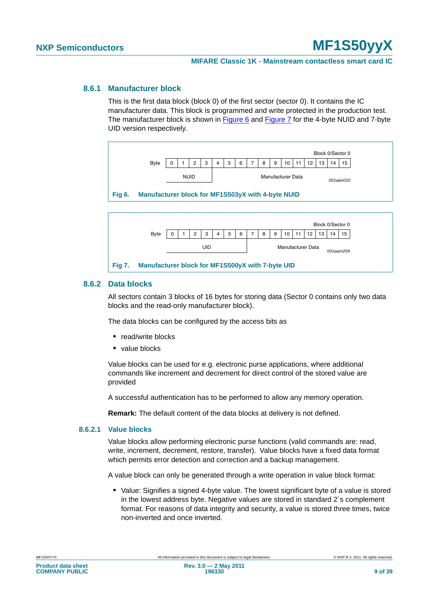#### <span id="page-8-3"></span>**8.6.1 Manufacturer block**

This is the first data block (block 0) of the first sector (sector 0). It contains the IC manufacturer data. This block is programmed and write protected in the production test. The manufacturer block is shown in [Figure 6](#page-8-0) and [Figure 7](#page-8-1) for the 4-byte NUID and 7-byte UID version respectively.



<span id="page-8-0"></span>

#### <span id="page-8-4"></span><span id="page-8-1"></span>**8.6.2 Data blocks**

All sectors contain 3 blocks of 16 bytes for storing data (Sector 0 contains only two data blocks and the read-only manufacturer block).

The data blocks can be configured by the access bits as

- **•** read/write blocks
- **•** value blocks

Value blocks can be used for e.g. electronic purse applications, where additional commands like increment and decrement for direct control of the stored value are provided

A successful authentication has to be performed to allow any memory operation.

**Remark:** The default content of the data blocks at delivery is not defined.

#### <span id="page-8-2"></span>**8.6.2.1 Value blocks**

Value blocks allow performing electronic purse functions (valid commands are: read, write, increment, decrement, restore, transfer). Value blocks have a fixed data format which permits error detection and correction and a backup management.

A value block can only be generated through a write operation in value block format:

**•** Value: Signifies a signed 4-byte value. The lowest significant byte of a value is stored in the lowest address byte. Negative values are stored in standard 2´s complement format. For reasons of data integrity and security, a value is stored three times, twice non-inverted and once inverted.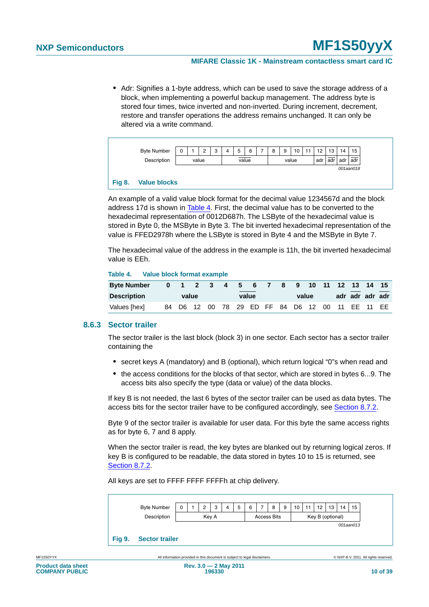**•** Adr: Signifies a 1-byte address, which can be used to save the storage address of a block, when implementing a powerful backup management. The address byte is stored four times, twice inverted and non-inverted. During increment, decrement, restore and transfer operations the address remains unchanged. It can only be altered via a write command.



#### <span id="page-9-1"></span>**Fig 8. Value blocks**

An example of a valid value block format for the decimal value 1234567d and the block address 17d is shown in [Table 4](#page-9-0). First, the decimal value has to be converted to the hexadecimal representation of 0012D687h. The LSByte of the hexadecimal value is stored in Byte 0, the MSByte in Byte 3. The bit inverted hexadecimal representation of the value is FFED2978h where the LSByte is stored in Byte 4 and the MSByte in Byte 7.

The hexadecimal value of the address in the example is 11h, the bit inverted hexadecimal value is EEh.

#### <span id="page-9-0"></span>**Table 4. Value block format example**

| <b>Byte Number</b> | 1 2 3 4 5 6 7 |  |  |       | -8 | -9                                     |  | 10 11 12 13 14 15 |                 |  |
|--------------------|---------------|--|--|-------|----|----------------------------------------|--|-------------------|-----------------|--|
| <b>Description</b> | value         |  |  | value |    | value                                  |  |                   | adr adr adr adr |  |
| Values [hex]       | 84 D6 12      |  |  |       |    | 00 78 29 ED FF 84 D6 12 00 11 EE 11 EE |  |                   |                 |  |

#### <span id="page-9-3"></span>**8.6.3 Sector trailer**

The sector trailer is the last block (block 3) in one sector. Each sector has a sector trailer containing the

- **•** secret keys A (mandatory) and B (optional), which return logical "0"s when read and
- **•** the access conditions for the blocks of that sector, which are stored in bytes 6...9. The access bits also specify the type (data or value) of the data blocks.

If key B is not needed, the last 6 bytes of the sector trailer can be used as data bytes. The access bits for the sector trailer have to be configured accordingly, see [Section 8.7.2.](#page-12-0)

Byte 9 of the sector trailer is available for user data. For this byte the same access rights as for byte 6, 7 and 8 apply.

When the sector trailer is read, the key bytes are blanked out by returning logical zeros. If key B is configured to be readable, the data stored in bytes 10 to 15 is returned, see [Section 8.7.2](#page-12-0).

All keys are set to FFFF FFFF FFFFh at chip delivery.



<span id="page-9-2"></span>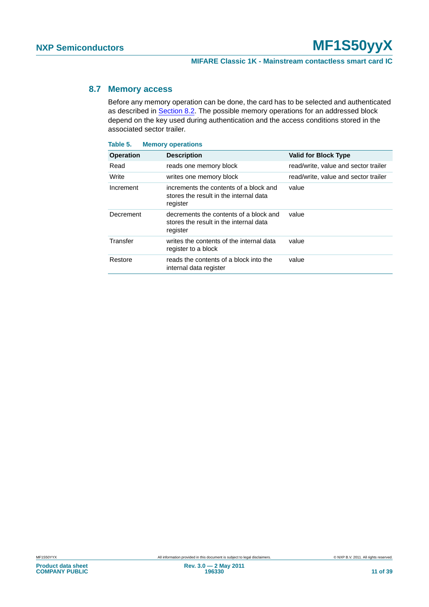#### <span id="page-10-1"></span>**8.7 Memory access**

Before any memory operation can be done, the card has to be selected and authenticated as described in [Section 8.2](#page-4-0). The possible memory operations for an addressed block depend on the key used during authentication and the access conditions stored in the associated sector trailer.

<span id="page-10-0"></span>

| Table 5.         | <b>Memory operations</b>                                                                     |                                      |
|------------------|----------------------------------------------------------------------------------------------|--------------------------------------|
| <b>Operation</b> | <b>Description</b>                                                                           | <b>Valid for Block Type</b>          |
| Read             | reads one memory block                                                                       | read/write, value and sector trailer |
| Write            | writes one memory block                                                                      | read/write, value and sector trailer |
| Increment        | increments the contents of a block and<br>stores the result in the internal data<br>register | value                                |
| Decrement        | decrements the contents of a block and<br>stores the result in the internal data<br>register | value                                |
| Transfer         | writes the contents of the internal data<br>register to a block                              | value                                |
| Restore          | reads the contents of a block into the<br>internal data register                             | value                                |
|                  |                                                                                              |                                      |

# **Product data sheet COMPANY PUBLIC**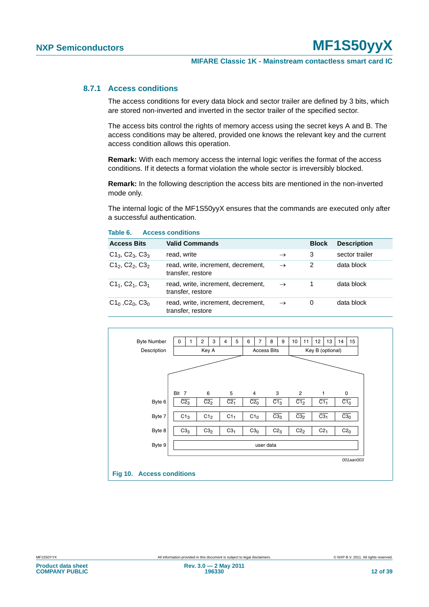#### <span id="page-11-2"></span>**8.7.1 Access conditions**

The access conditions for every data block and sector trailer are defined by 3 bits, which are stored non-inverted and inverted in the sector trailer of the specified sector.

The access bits control the rights of memory access using the secret keys A and B. The access conditions may be altered, provided one knows the relevant key and the current access condition allows this operation.

**Remark:** With each memory access the internal logic verifies the format of the access conditions. If it detects a format violation the whole sector is irreversibly blocked.

**Remark:** In the following description the access bits are mentioned in the non-inverted mode only.

The internal logic of the MF1S50yyX ensures that the commands are executed only after a successful authentication.

| <b>Access Bits</b>       | <b>Valid Commands</b>                                   |               | <b>Block</b> | <b>Description</b> |
|--------------------------|---------------------------------------------------------|---------------|--------------|--------------------|
| $C1_3$ , $C2_3$ , $C3_3$ | read, write                                             | $\rightarrow$ | 3            | sector trailer     |
| $C12, C22, C32$          | read, write, increment, decrement,<br>transfer, restore | $\rightarrow$ | 2            | data block         |
| $C1_1, C2_1, C3_1$       | read, write, increment, decrement,<br>transfer, restore | $\rightarrow$ |              | data block         |
| $C1_0$ , $C2_0$ , $C3_0$ | read, write, increment, decrement,<br>transfer, restore | $\rightarrow$ | 0            | data block         |

<span id="page-11-1"></span>

<span id="page-11-0"></span>**Table 6. Access conditions**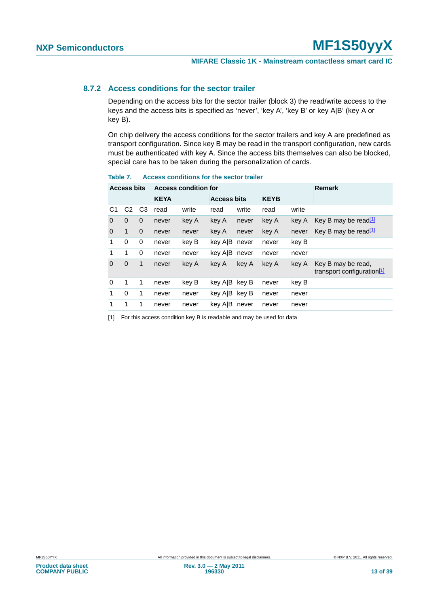#### <span id="page-12-0"></span>**8.7.2 Access conditions for the sector trailer**

Depending on the access bits for the sector trailer (block 3) the read/write access to the keys and the access bits is specified as 'never', 'key A', 'key B' or key A|B' (key A or key B).

On chip delivery the access conditions for the sector trailers and key A are predefined as transport configuration. Since key B may be read in the transport configuration, new cards must be authenticated with key A. Since the access bits themselves can also be blocked, special care has to be taken during the personalization of cards.

|                | <b>Access bits</b> |                |             | <b>Access condition for</b> |                    |       |             |       | <b>Remark</b>                                                |
|----------------|--------------------|----------------|-------------|-----------------------------|--------------------|-------|-------------|-------|--------------------------------------------------------------|
|                |                    |                | <b>KEYA</b> |                             | <b>Access bits</b> |       | <b>KEYB</b> |       |                                                              |
| C <sub>1</sub> | C <sub>2</sub>     | C <sub>3</sub> | read        | write                       | read               | write | read        | write |                                                              |
| $\Omega$       | $\mathbf 0$        | $\mathbf 0$    | never       | key A                       | key A              | never | key A       | key A | Key B may be read <sup>[1]</sup>                             |
| 0              | 1                  | $\Omega$       | never       | never                       | key A              | never | key A       | never | Key B may be read <sup>11</sup>                              |
| 1              | 0                  | 0              | never       | key B                       | key AIB            | never | never       | key B |                                                              |
| 1              | 1                  | 0              | never       | never                       | key AIB            | never | never       | never |                                                              |
| $\Omega$       | $\mathbf 0$        | 1              | never       | key A                       | key A              | key A | key A       | key A | Key B may be read,<br>transport configuration <sup>[1]</sup> |
| $\Omega$       | 1                  | 1              | never       | key B                       | key AIB key B      |       | never       | key B |                                                              |
| 1              | 0                  | 1              | never       | never                       | key AIB key B      |       | never       | never |                                                              |
| 1              | 1                  | 1              | never       | never                       | key A B            | never | never       | never |                                                              |

### <span id="page-12-2"></span>**Table 7. Access conditions for the sector trailer**

<span id="page-12-1"></span>[1] For this access condition key B is readable and may be used for data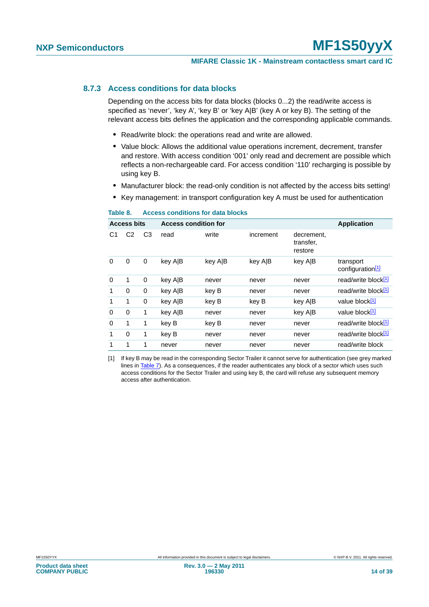#### <span id="page-13-2"></span>**8.7.3 Access conditions for data blocks**

Depending on the access bits for data blocks (blocks 0...2) the read/write access is specified as 'never', 'key A', 'key B' or 'key A|B' (key A or key B). The setting of the relevant access bits defines the application and the corresponding applicable commands.

- **•** Read/write block: the operations read and write are allowed.
- **•** Value block: Allows the additional value operations increment, decrement, transfer and restore. With access condition '001' only read and decrement are possible which reflects a non-rechargeable card. For access condition '110' recharging is possible by using key B.
- **•** Manufacturer block: the read-only condition is not affected by the access bits setting!
- **•** Key management: in transport configuration key A must be used for authentication

|          | <b>Access bits</b> |                | <b>Access condition for</b> |         |           |                                    | <b>Application</b>                        |
|----------|--------------------|----------------|-----------------------------|---------|-----------|------------------------------------|-------------------------------------------|
| C1       | C2                 | C <sub>3</sub> | read                        | write   | increment | decrement,<br>transfer,<br>restore |                                           |
| $\Omega$ | 0                  | 0              | key AIB                     | key A B | key A B   | key A B                            | transport<br>configuration <sup>[1]</sup> |
| $\Omega$ | 1                  | 0              | key AIB                     | never   | never     | never                              | read/write block[1]                       |
| 1        | $\Omega$           | 0              | key A B                     | key B   | never     | never                              | read/write block[1]                       |
| 1        | 1                  | 0              | key A B                     | key B   | key B     | key A B                            | value block <sup>[1]</sup>                |
| $\Omega$ | $\Omega$           | 1              | key A B                     | never   | never     | key A B                            | value block <sup>[1]</sup>                |
| $\Omega$ | 1                  | 1              | key B                       | key B   | never     | never                              | read/write block[1]                       |
| 1        | $\Omega$           | 1              | key B                       | never   | never     | never                              | read/write block[1]                       |
| 1        | 1                  | 1              | never                       | never   | never     | never                              | read/write block                          |

#### <span id="page-13-1"></span>**Table 8. Access conditions for data blocks**

<span id="page-13-0"></span>[1] If key B may be read in the corresponding Sector Trailer it cannot serve for authentication (see grey marked lines in [Table 7\)](#page-12-2). As a consequences, if the reader authenticates any block of a sector which uses such access conditions for the Sector Trailer and using key B, the card will refuse any subsequent memory access after authentication.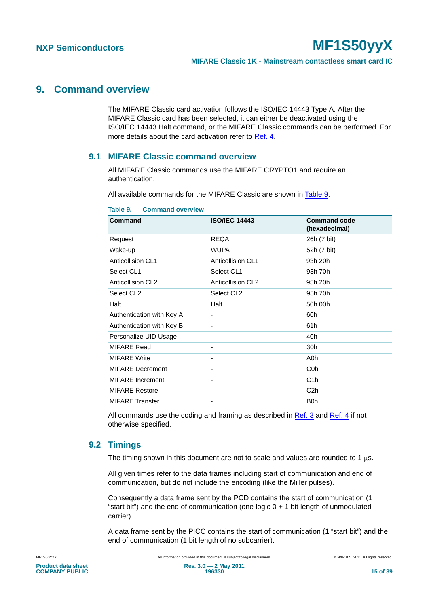#### **MIFARE Classic 1K - Mainstream contactless smart card IC**

### <span id="page-14-1"></span>**9. Command overview**

The MIFARE Classic card activation follows the ISO/IEC 14443 Type A. After the MIFARE Classic card has been selected, it can either be deactivated using the ISO/IEC 14443 Halt command, or the MIFARE Classic commands can be performed. For more details about the card activation refer to [Ref. 4.](#page-32-3)

#### <span id="page-14-2"></span>**9.1 MIFARE Classic command overview**

All MIFARE Classic commands use the MIFARE CRYPTO1 and require an authentication.

All available commands for the MIFARE Classic are shown in [Table 9.](#page-14-0)

| Command                   | <b>ISO/IEC 14443</b>     | <b>Command code</b><br>(hexadecimal) |
|---------------------------|--------------------------|--------------------------------------|
| Request                   | <b>REQA</b>              | 26h (7 bit)                          |
| Wake-up                   | <b>WUPA</b>              | 52h (7 bit)                          |
| Anticollision CL1         | Anticollision CL1        | 93h 20h                              |
| Select CL1                | Select CL1               | 93h 70h                              |
| Anticollision CL2         | <b>Anticollision CL2</b> | 95h 20h                              |
| Select CL <sub>2</sub>    | Select CL <sub>2</sub>   | 95h 70h                              |
| Halt                      | Halt                     | 50h 00h                              |
| Authentication with Key A |                          | 60h                                  |
| Authentication with Key B |                          | 61h                                  |
| Personalize UID Usage     |                          | 40h                                  |
| <b>MIFARE Read</b>        |                          | 30h                                  |
| <b>MIFARE Write</b>       |                          | A0h                                  |
| <b>MIFARE Decrement</b>   |                          | C <sub>0</sub> h                     |
| <b>MIFARE</b> Increment   |                          | C <sub>1</sub> h                     |
| <b>MIFARE Restore</b>     |                          | C <sub>2h</sub>                      |
| <b>MIFARE Transfer</b>    |                          | B <sub>0</sub> h                     |

#### <span id="page-14-0"></span>**Table 9. Command overview**

All commands use the coding and framing as described in [Ref. 3](#page-32-4) and [Ref. 4](#page-32-3) if not otherwise specified.

#### <span id="page-14-3"></span>**9.2 Timings**

The timing shown in this document are not to scale and values are rounded to 1  $\mu$ s.

All given times refer to the data frames including start of communication and end of communication, but do not include the encoding (like the Miller pulses).

Consequently a data frame sent by the PCD contains the start of communication (1 "start bit") and the end of communication (one logic  $0 + 1$  bit length of unmodulated carrier).

A data frame sent by the PICC contains the start of communication (1 "start bit") and the end of communication (1 bit length of no subcarrier).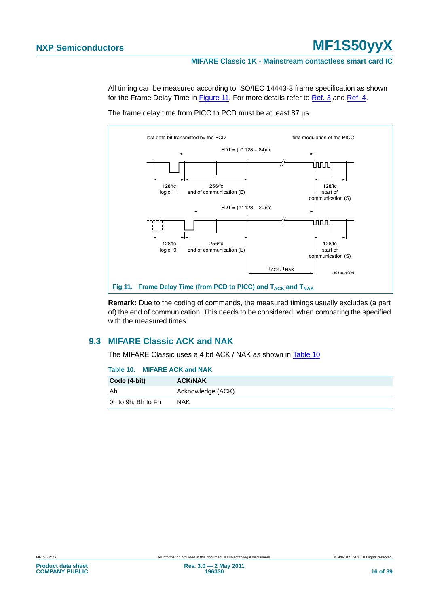#### **MIFARE Classic 1K - Mainstream contactless smart card IC**

All timing can be measured according to ISO/IEC 14443-3 frame specification as shown for the Frame Delay Time in [Figure 11.](#page-15-0) For more details refer to [Ref. 3](#page-32-4) and [Ref. 4](#page-32-3).



The frame delay time from PICC to PCD must be at least 87 μs.

<span id="page-15-0"></span>**Remark:** Due to the coding of commands, the measured timings usually excludes (a part of) the end of communication. This needs to be considered, when comparing the specified with the measured times.

### <span id="page-15-2"></span>**9.3 MIFARE Classic ACK and NAK**

The MIFARE Classic uses a 4 bit ACK / NAK as shown in [Table 10](#page-15-1).

<span id="page-15-1"></span>

| Table 10. MIFARE ACK and NAK |                   |
|------------------------------|-------------------|
| Code (4-bit)                 | <b>ACK/NAK</b>    |
| Ah                           | Acknowledge (ACK) |
| 0h to 9h, Bh to Fh           | <b>NAK</b>        |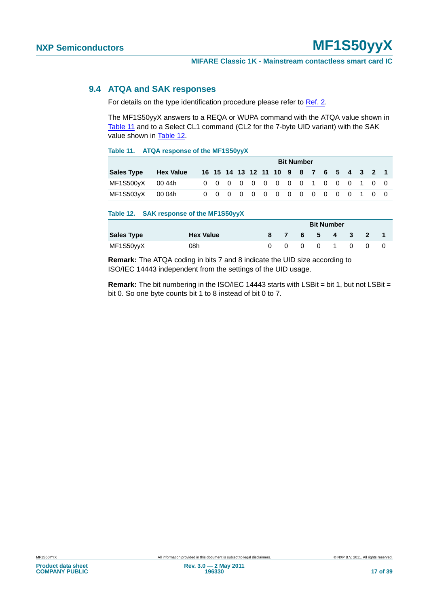#### <span id="page-16-0"></span>**9.4 ATQA and SAK responses**

For details on the type identification procedure please refer to [Ref. 2](#page-32-2).

The MF1S50yyX answers to a REQA or WUPA command with the ATQA value shown in [Table 11](#page-16-1) and to a Select CL1 command (CL2 for the 7-byte UID variant) with the SAK value shown in [Table 12.](#page-16-2)

#### <span id="page-16-1"></span>**Table 11. ATQA response of the MF1S50yyX**

|                   |                  | <b>Bit Number</b> |  |  |  |  |  |  |  |  |  |  |  |  |  |                                        |  |
|-------------------|------------------|-------------------|--|--|--|--|--|--|--|--|--|--|--|--|--|----------------------------------------|--|
| <b>Sales Type</b> | <b>Hex Value</b> |                   |  |  |  |  |  |  |  |  |  |  |  |  |  | 16 15 14 13 12 11 10 9 8 7 6 5 4 3 2 1 |  |
| MF1S500yX  00 44h |                  |                   |  |  |  |  |  |  |  |  |  |  |  |  |  | 0 0 0 0 0 0 0 0 0 1 0 0 0 1 0 0        |  |
| MF1S503yX 00 04h  |                  |                   |  |  |  |  |  |  |  |  |  |  |  |  |  | 0 0 0 0 0 0 0 0 0 0 0 0 1 0 0          |  |

#### <span id="page-16-2"></span>**Table 12. SAK response of the MF1S50yyX**

|                   |                  | <b>Bit Number</b> |          |           |  |         |  |  |
|-------------------|------------------|-------------------|----------|-----------|--|---------|--|--|
| <b>Sales Type</b> | <b>Hex Value</b> |                   | 87       | 6 5 4 3 2 |  |         |  |  |
| MF1S50yyX         | 08h              |                   | $\Omega$ |           |  | 0 0 1 0 |  |  |

**Remark:** The ATQA coding in bits 7 and 8 indicate the UID size according to ISO/IEC 14443 independent from the settings of the UID usage.

**Remark:** The bit numbering in the ISO/IEC 14443 starts with LSBit = bit 1, but not LSBit = bit 0. So one byte counts bit 1 to 8 instead of bit 0 to 7.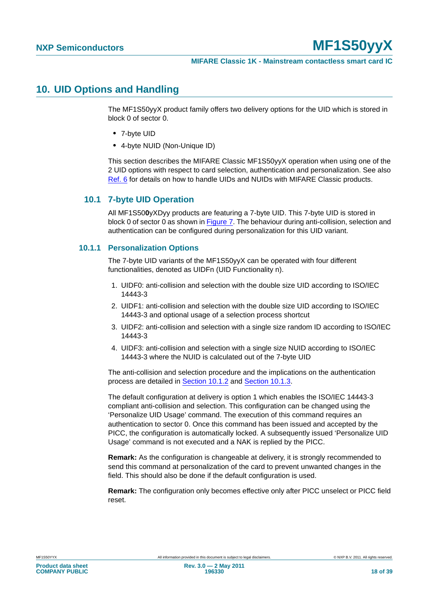## <span id="page-17-0"></span>**10. UID Options and Handling**

The MF1S50yyX product family offers two delivery options for the UID which is stored in block 0 of sector 0.

- **•** 7-byte UID
- **•** 4-byte NUID (Non-Unique ID)

This section describes the MIFARE Classic MF1S50yyX operation when using one of the 2 UID options with respect to card selection, authentication and personalization. See also [Ref. 6](#page-32-1) for details on how to handle UIDs and NUIDs with MIFARE Classic products.

#### <span id="page-17-1"></span>**10.1 7-byte UID Operation**

All MF1S50**0**yXDyy products are featuring a 7-byte UID. This 7-byte UID is stored in block 0 of sector 0 as shown in [Figure 7](#page-8-1). The behaviour during anti-collision, selection and authentication can be configured during personalization for this UID variant.

#### <span id="page-17-2"></span>**10.1.1 Personalization Options**

The 7-byte UID variants of the MF1S50yyX can be operated with four different functionalities, denoted as UIDFn (UID Functionality n).

- 1. UIDF0: anti-collision and selection with the double size UID according to ISO/IEC 14443-3
- 2. UIDF1: anti-collision and selection with the double size UID according to ISO/IEC 14443-3 and optional usage of a selection process shortcut
- 3. UIDF2: anti-collision and selection with a single size random ID according to ISO/IEC 14443-3
- 4. UIDF3: anti-collision and selection with a single size NUID according to ISO/IEC 14443-3 where the NUID is calculated out of the 7-byte UID

The anti-collision and selection procedure and the implications on the authentication process are detailed in [Section 10.1.2](#page-18-0) and [Section 10.1.3](#page-19-0).

The default configuration at delivery is option 1 which enables the ISO/IEC 14443-3 compliant anti-collision and selection. This configuration can be changed using the 'Personalize UID Usage' command. The execution of this command requires an authentication to sector 0. Once this command has been issued and accepted by the PICC, the configuration is automatically locked. A subsequently issued 'Personalize UID Usage' command is not executed and a NAK is replied by the PICC.

**Remark:** As the configuration is changeable at delivery, it is strongly recommended to send this command at personalization of the card to prevent unwanted changes in the field. This should also be done if the default configuration is used.

**Remark:** The configuration only becomes effective only after PICC unselect or PICC field reset.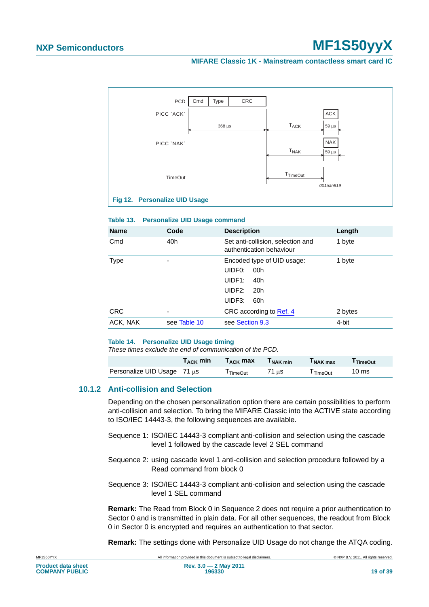#### **MIFARE Classic 1K - Mainstream contactless smart card IC**



#### <span id="page-18-3"></span><span id="page-18-1"></span>**Table 13. Personalize UID Usage command**

| <b>Name</b> | Code         | <b>Description</b>                                                                                                      | Length  |
|-------------|--------------|-------------------------------------------------------------------------------------------------------------------------|---------|
| Cmd         | 40h          | Set anti-collision, selection and<br>authentication behaviour                                                           | 1 byte  |
| <b>Type</b> | ۰            | Encoded type of UID usage:<br>UIDF <sub>0</sub> :<br>00h<br>UIDF1:<br>40h<br>UIDF2:<br>20 <sub>h</sub><br>UIDF3:<br>60h | 1 byte  |
| <b>CRC</b>  | -            | CRC according to Ref. 4                                                                                                 | 2 bytes |
| ACK, NAK    | see Table 10 | see Section 9.3                                                                                                         | 4-bit   |

#### <span id="page-18-2"></span>**Table 14. Personalize UID Usage timing**

*These times exclude the end of communication of the PCD.*

|                                  | $T_{\rm ACK}$ min | $T_{\rm ACK}$ max | <b>INAK min</b> | I NAK max | TimeOut |
|----------------------------------|-------------------|-------------------|-----------------|-----------|---------|
| Personalize UID Usage $71 \mu s$ |                   | TimeOut           | 71 ແs           | l TimeOut | 10 ms   |

#### <span id="page-18-0"></span>**10.1.2 Anti-collision and Selection**

Depending on the chosen personalization option there are certain possibilities to perform anti-collision and selection. To bring the MIFARE Classic into the ACTIVE state according to ISO/IEC 14443-3, the following sequences are available.

- Sequence 1: ISO/IEC 14443-3 compliant anti-collision and selection using the cascade level 1 followed by the cascade level 2 SEL command
- Sequence 2: using cascade level 1 anti-collision and selection procedure followed by a Read command from block 0
- Sequence 3: ISO/IEC 14443-3 compliant anti-collision and selection using the cascade level 1 SEL command

**Remark:** The Read from Block 0 in Sequence 2 does not require a prior authentication to Sector 0 and is transmitted in plain data. For all other sequences, the readout from Block 0 in Sector 0 is encrypted and requires an authentication to that sector.

**Remark:** The settings done with Personalize UID Usage do not change the ATQA coding.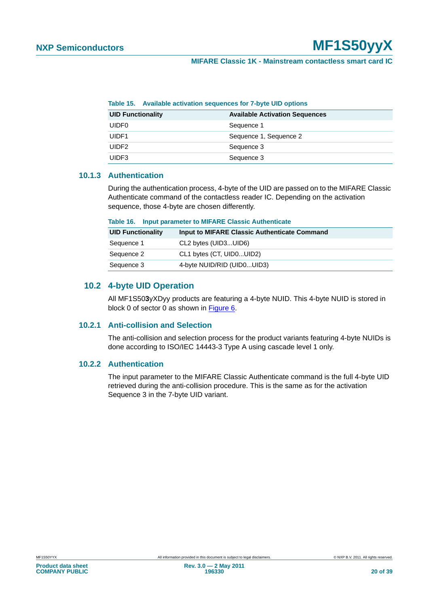| Table 15. Available activation sequences for 7-byte UID options |                                       |
|-----------------------------------------------------------------|---------------------------------------|
| <b>UID Functionality</b>                                        | <b>Available Activation Sequences</b> |
| <b>UIDF0</b>                                                    | Sequence 1                            |
| UIDF1                                                           | Sequence 1, Sequence 2                |
| UIDF <sub>2</sub>                                               | Sequence 3                            |
| UIDF3                                                           | Sequence 3                            |

#### <span id="page-19-2"></span>**Table 15. Available activation sequences for 7-byte UID options**

#### <span id="page-19-0"></span>**10.1.3 Authentication**

During the authentication process, 4-byte of the UID are passed on to the MIFARE Classic Authenticate command of the contactless reader IC. Depending on the activation sequence, those 4-byte are chosen differently.

<span id="page-19-3"></span>

| Table 16. | <b>Input parameter to MIFARE Classic Authenticate</b> |  |  |  |
|-----------|-------------------------------------------------------|--|--|--|
|-----------|-------------------------------------------------------|--|--|--|

| <b>UID Functionality</b> | Input to MIFARE Classic Authenticate Command |
|--------------------------|----------------------------------------------|
| Sequence 1               | CL2 bytes (UID3UID6)                         |
| Sequence 2               | CL1 bytes (CT, UID0UID2)                     |
| Sequence 3               | 4-byte NUID/RID (UID0UID3)                   |

#### <span id="page-19-4"></span>**10.2 4-byte UID Operation**

All MF1S50**3**yXDyy products are featuring a 4-byte NUID. This 4-byte NUID is stored in block 0 of sector 0 as shown in [Figure 6](#page-8-0).

#### <span id="page-19-5"></span>**10.2.1 Anti-collision and Selection**

The anti-collision and selection process for the product variants featuring 4-byte NUIDs is done according to ISO/IEC 14443-3 Type A using cascade level 1 only.

#### <span id="page-19-1"></span>**10.2.2 Authentication**

The input parameter to the MIFARE Classic Authenticate command is the full 4-byte UID retrieved during the anti-collision procedure. This is the same as for the activation Sequence 3 in the 7-byte UID variant.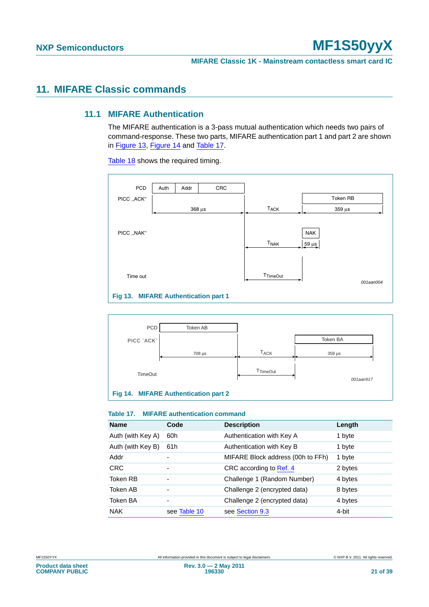# <span id="page-20-4"></span><span id="page-20-3"></span>**11. MIFARE Classic commands**

#### **11.1 MIFARE Authentication**

The MIFARE authentication is a 3-pass mutual authentication which needs two pairs of command-response. These two parts, MIFARE authentication part 1 and part 2 are shown in [Figure 13,](#page-20-0) [Figure 14](#page-20-1) and [Table 17.](#page-20-2)

[Table 18](#page-21-0) shows the required timing.



<span id="page-20-0"></span>

#### <span id="page-20-2"></span><span id="page-20-1"></span>**Table 17. MIFARE authentication command**

| <b>Name</b>       | Code                     | <b>Description</b>                | Length  |
|-------------------|--------------------------|-----------------------------------|---------|
| Auth (with Key A) | 60h                      | Authentication with Key A         | 1 byte  |
| Auth (with Key B) | 61h                      | Authentication with Key B         | 1 byte  |
| Addr              |                          | MIFARE Block address (00h to FFh) | 1 byte  |
| <b>CRC</b>        | $\overline{\phantom{0}}$ | CRC according to Ref. 4           | 2 bytes |
| Token RB          |                          | Challenge 1 (Random Number)       | 4 bytes |
| Token AB          |                          | Challenge 2 (encrypted data)      | 8 bytes |
| Token BA          | $\overline{\phantom{0}}$ | Challenge 2 (encrypted data)      | 4 bytes |
| <b>NAK</b>        | see Table 10             | see Section 9.3                   | 4-bit   |

**Product data sheet COMPANY PUBLIC**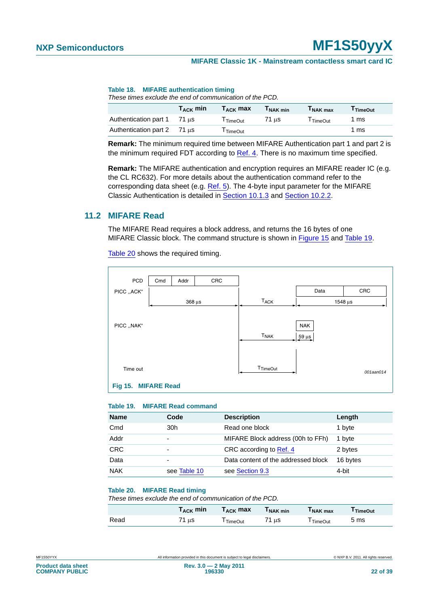#### <span id="page-21-0"></span>**Table 18. MIFARE authentication timing**

*These times exclude the end of communication of the PCD.*

|                                                       | $T_{\rm ACK}$ min | $T_{\rm ACK}$ max | $T_{\sf NAK}$ min | <b>TNAK max</b> | I TimeOut |
|-------------------------------------------------------|-------------------|-------------------|-------------------|-----------------|-----------|
| Authentication part 1                                 | 71 us             | TimeOut           | 71 us             | TimeOut         | 1 ms      |
| Authentication part $2 \times 71 \text{ }\mu\text{s}$ |                   | TimeOut           |                   |                 | 1 ms      |

**Remark:** The minimum required time between MIFARE Authentication part 1 and part 2 is the minimum required FDT according to [Ref. 4.](#page-32-3) There is no maximum time specified.

**Remark:** The MIFARE authentication and encryption requires an MIFARE reader IC (e.g. the CL RC632). For more details about the authentication command refer to the corresponding data sheet (e.g. [Ref. 5\)](#page-32-5). The 4-byte input parameter for the MIFARE Classic Authentication is detailed in [Section 10.1.3](#page-19-0) and [Section 10.2.2](#page-19-1).

#### <span id="page-21-4"></span>**11.2 MIFARE Read**

The MIFARE Read requires a block address, and returns the 16 bytes of one MIFARE Classic block. The command structure is shown in [Figure 15](#page-21-1) and [Table 19.](#page-21-2)

[Table 20](#page-21-3) shows the required timing.



#### <span id="page-21-2"></span><span id="page-21-1"></span>**Table 19. MIFARE Read command**

| <b>Name</b> | Code         | <b>Description</b>                  | Length   |
|-------------|--------------|-------------------------------------|----------|
| Cmd         | 30h          | Read one block                      | 1 byte   |
| Addr        | -            | MIFARE Block address (00h to FFh)   | 1 byte   |
| <b>CRC</b>  | -            | CRC according to Ref. 4             | 2 bytes  |
| Data        | -            | Data content of the addressed block | 16 bytes |
| <b>NAK</b>  | see Table 10 | see Section 9.3                     | 4-bit    |

#### <span id="page-21-3"></span>**Table 20. MIFARE Read timing**

*These times exclude the end of communication of the PCD.*

|      | $\Gamma_\mathsf{ACK}$ min | $\mathsf{T}_{\mathsf{ACK}}$ max | I NAK min | I NAK max | <b>TimeOut</b> |
|------|---------------------------|---------------------------------|-----------|-----------|----------------|
| Read | ้1 นร                     | TimeOut                         | 71 µs     | l TimeOut | 5 ms           |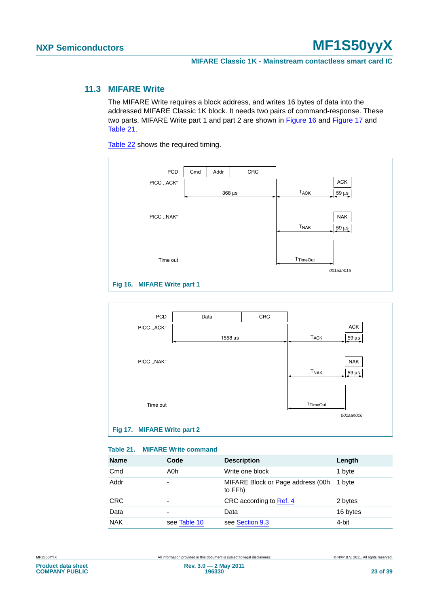### <span id="page-22-3"></span>**11.3 MIFARE Write**

The MIFARE Write requires a block address, and writes 16 bytes of data into the addressed MIFARE Classic 1K block. It needs two pairs of command-response. These two parts, MIFARE Write part 1 and part 2 are shown in [Figure 16](#page-22-0) and [Figure 17](#page-22-1) and [Table 21.](#page-22-2)

[Table 22](#page-23-0) shows the required timing.

| PCD                         | Cmd | Addr | CRC           |                        |                                    |
|-----------------------------|-----|------|---------------|------------------------|------------------------------------|
| PICC ,,ACK"                 |     |      |               |                        | ACK                                |
|                             |     |      | $368 \,\mu s$ | <b>TACK</b>            | $\frac{59 \text{ }\mu\text{s}}{2}$ |
|                             |     |      |               |                        |                                    |
| PICC ,, NAK"                |     |      |               |                        | <b>NAK</b>                         |
|                             |     |      |               | <b>T<sub>NAK</sub></b> | $\frac{59 \text{ }\mu\text{s}}{2}$ |
|                             |     |      |               |                        |                                    |
|                             |     |      |               |                        |                                    |
| Time out                    |     |      |               | <b>T</b> TimeOut       |                                    |
|                             |     |      |               |                        | 001aan015                          |
| Fig 16. MIFARE Write part 1 |     |      |               |                        |                                    |
|                             |     |      |               |                        |                                    |

<span id="page-22-0"></span>

#### <span id="page-22-2"></span><span id="page-22-1"></span>**Table 21. MIFARE Write command**

| <b>Name</b> | Code                     | <b>Description</b>                            | Length   |
|-------------|--------------------------|-----------------------------------------------|----------|
| Cmd         | A0h                      | Write one block                               | 1 byte   |
| Addr        | $\overline{\phantom{0}}$ | MIFARE Block or Page address (00h)<br>to FFh) | 1 byte   |
| <b>CRC</b>  | $\overline{\phantom{0}}$ | CRC according to Ref. 4                       | 2 bytes  |
| Data        | $\overline{\phantom{0}}$ | Data                                          | 16 bytes |
| <b>NAK</b>  | see Table 10             | see Section 9.3                               | 4-bit    |

**Product data sheet COMPANY PUBLIC**

MF1S50YYX **All information provided in this document** is subject to legal disclaimers. **ONXP B.V. 2011. All rights reserved.**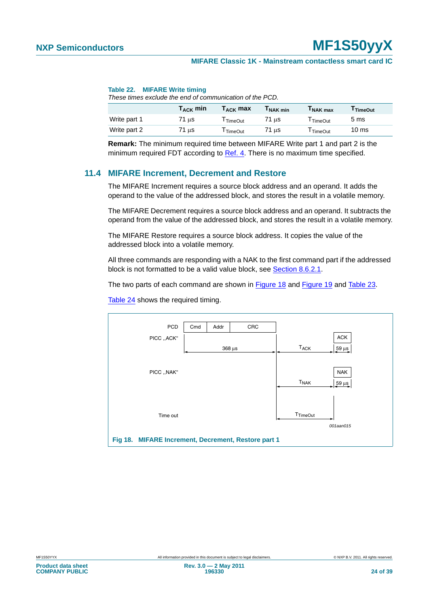#### <span id="page-23-0"></span>**Table 22. MIFARE Write timing**

*These times exclude the end of communication of the PCD.*

|              | $\mathsf{T}_{\mathsf{ACK}}$ min | $T_{\rm ACK}$ max | I NAK min | I NAK max | TimeOut         |
|--------------|---------------------------------|-------------------|-----------|-----------|-----------------|
| Write part 1 | 71 µs                           | TimeOut           | 71 us     | TimeOut   | 5 ms            |
| Write part 2 | 71 µs                           | TimeOut           | 71 us     | TimeOut   | $10 \text{ ms}$ |

**Remark:** The minimum required time between MIFARE Write part 1 and part 2 is the minimum required FDT according to [Ref. 4.](#page-32-3) There is no maximum time specified.

#### <span id="page-23-2"></span>**11.4 MIFARE Increment, Decrement and Restore**

The MIFARE Increment requires a source block address and an operand. It adds the operand to the value of the addressed block, and stores the result in a volatile memory.

The MIFARE Decrement requires a source block address and an operand. It subtracts the operand from the value of the addressed block, and stores the result in a volatile memory.

The MIFARE Restore requires a source block address. It copies the value of the addressed block into a volatile memory.

All three commands are responding with a NAK to the first command part if the addressed block is not formatted to be a valid value block, see [Section 8.6.2.1.](#page-8-2)

The two parts of each command are shown in [Figure 18](#page-23-1) and [Figure 19](#page-24-0) and [Table 23](#page-24-1).

<span id="page-23-1"></span>

[Table 24](#page-24-2) shows the required timing.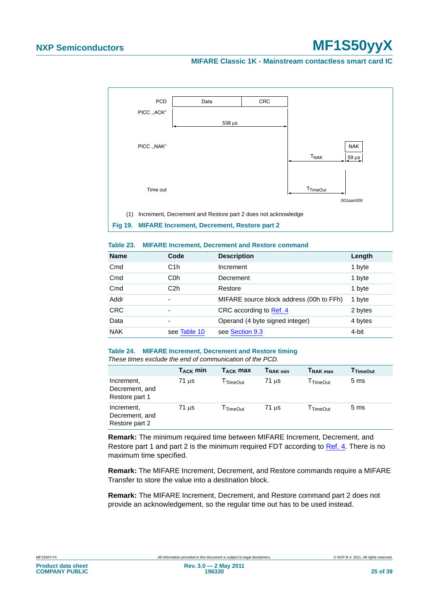#### **MIFARE Classic 1K - Mainstream contactless smart card IC**



<span id="page-24-1"></span><span id="page-24-0"></span>

|  |  | Table 23. MIFARE Increment, Decrement and Restore command |  |  |
|--|--|-----------------------------------------------------------|--|--|
|--|--|-----------------------------------------------------------|--|--|

| <b>Name</b> | Code                     | <b>Description</b>                       | Length  |
|-------------|--------------------------|------------------------------------------|---------|
| Cmd         | C <sub>1</sub> h         | Increment                                | 1 byte  |
| Cmd         | C <sub>0</sub> h         | Decrement                                | 1 byte  |
| Cmd         | C <sub>2</sub> h         | Restore                                  | 1 byte  |
| Addr        | $\overline{\phantom{0}}$ | MIFARE source block address (00h to FFh) | 1 byte  |
| <b>CRC</b>  | $\overline{\phantom{0}}$ | CRC according to Ref. 4                  | 2 bytes |
| Data        | $\overline{\phantom{0}}$ | Operand (4 byte signed integer)          | 4 bytes |
| <b>NAK</b>  | see Table 10             | see Section 9.3                          | 4-bit   |

#### <span id="page-24-2"></span>**Table 24. MIFARE Increment, Decrement and Restore timing**

*These times exclude the end of communication of the PCD.*

|                                                | $T_{\rm ACK}$ min  | $T_{\rm ACK}$ max | $T_{\mathsf{NAK}}$ min | $INAK$ max           | <b>TimeOut</b>  |
|------------------------------------------------|--------------------|-------------------|------------------------|----------------------|-----------------|
| Increment,<br>Decrement, and<br>Restore part 1 | $71 \mu s$         | TimeOut           | $71 \mu s$             | I TimeOut            | 5 <sub>ms</sub> |
| Increment,<br>Decrement, and<br>Restore part 2 | $71 \text{ }\mu s$ | <b>TimeOut</b>    | $71 \mu s$             | <sup>I</sup> TimeOut | 5 <sub>ms</sub> |

**Remark:** The minimum required time between MIFARE Increment, Decrement, and Restore part 1 and part 2 is the minimum required FDT according to [Ref. 4](#page-32-3). There is no maximum time specified.

**Remark:** The MIFARE Increment, Decrement, and Restore commands require a MIFARE Transfer to store the value into a destination block.

**Remark:** The MIFARE Increment, Decrement, and Restore command part 2 does not provide an acknowledgement, so the regular time out has to be used instead.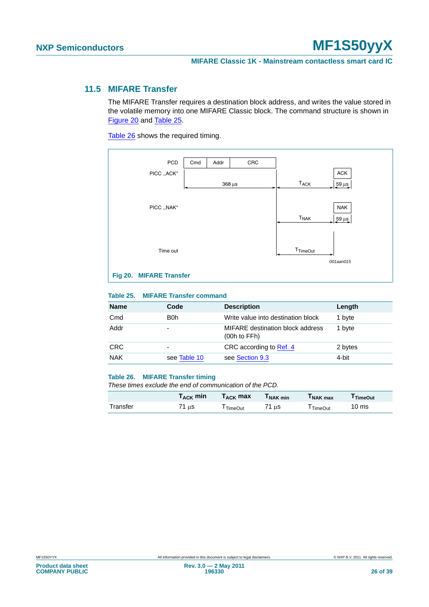### <span id="page-25-3"></span>**11.5 MIFARE Transfer**

The MIFARE Transfer requires a destination block address, and writes the value stored in the volatile memory into one MIFARE Classic block. The command structure is shown in [Figure 20](#page-25-0) and [Table 25](#page-25-1).

[Table 26](#page-25-2) shows the required timing.



#### <span id="page-25-1"></span><span id="page-25-0"></span>**Table 25. MIFARE Transfer command**

| <b>Name</b> | Code         | <b>Description</b>                                    | Length  |
|-------------|--------------|-------------------------------------------------------|---------|
| Cmd         | B0h          | Write value into destination block                    | 1 byte  |
| Addr        | -            | MIFARE destination block address<br>$(00h)$ to $FFh)$ | 1 byte  |
| <b>CRC</b>  | -            | CRC according to Ref. 4                               | 2 bytes |
| <b>NAK</b>  | see Table 10 | see Section 9.3                                       | 4-bit   |

#### <span id="page-25-2"></span>**Table 26. MIFARE Transfer timing**

*These times exclude the end of communication of the PCD.*

|          | $\Gamma_\mathsf{ACK}$ min | $T_{\rm ACK}$ max    | l NAK min | I NAK max | l TimeOut        |
|----------|---------------------------|----------------------|-----------|-----------|------------------|
| Transfer | μS                        | <sup>I</sup> TimeOut | 71 ແs     | TimeOut   | 10 <sub>ms</sub> |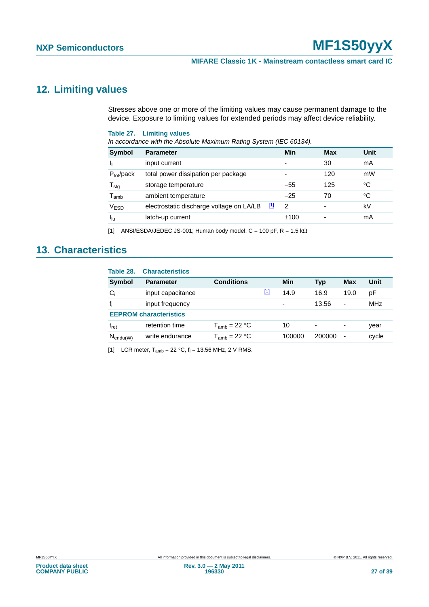#### **MIFARE Classic 1K - Mainstream contactless smart card IC**

# <span id="page-26-4"></span>**12. Limiting values**

Stresses above one or more of the limiting values may cause permanent damage to the device. Exposure to limiting values for extended periods may affect device reliability.

#### <span id="page-26-2"></span>**Table 27. Limiting values**

*In accordance with the Absolute Maximum Rating System (IEC 60134).*

| <b>Symbol</b>               | <b>Parameter</b>                                                              | Min                      | Max | Unit |
|-----------------------------|-------------------------------------------------------------------------------|--------------------------|-----|------|
|                             | input current                                                                 | ٠                        | 30  | mA   |
| $P_{tot}/pack$              | total power dissipation per package                                           | $\overline{\phantom{0}}$ | 120 | mW   |
| ${\mathsf T}_{\text{stg}}$  | storage temperature                                                           | $-55$                    | 125 | °C   |
| $\mathsf{T}_{\mathsf{amb}}$ | ambient temperature                                                           | $-25$                    | 70  | °C   |
| $\rm V_{ESD}$               | electrostatic discharge voltage on LA/LB<br>$\begin{bmatrix} 1 \end{bmatrix}$ | $\mathcal{P}$            | ۰   | kV   |
| $I_{\text{lu}}$             | latch-up current                                                              | ±100                     |     | mA   |

<span id="page-26-0"></span>[1] ANSI/ESDA/JEDEC JS-001; Human body model:  $C = 100$  pF,  $R = 1.5$  k $\Omega$ 

# <span id="page-26-5"></span>**13. Characteristics**

<span id="page-26-3"></span>

| Table 28.     | <b>Characteristics</b>        |                   |              |        |        |                          |            |
|---------------|-------------------------------|-------------------|--------------|--------|--------|--------------------------|------------|
| <b>Symbol</b> | Parameter                     | <b>Conditions</b> |              | Min    | Typ    | Max                      | Unit       |
| $C_i$         | input capacitance             |                   | $\mathbf{1}$ | 14.9   | 16.9   | 19.0                     | рF         |
| $f_i$         | input frequency               |                   |              | ٠      | 13.56  | ٠                        | <b>MHz</b> |
|               | <b>EEPROM</b> characteristics |                   |              |        |        |                          |            |
| $t_{\rm ret}$ | retention time                | $T_{amb}$ = 22 °C |              | 10     | ٠      | ۰                        | year       |
| $N_{endu(W)}$ | write endurance               | $T_{amb}$ = 22 °C |              | 100000 | 200000 | $\overline{\phantom{a}}$ | cycle      |

<span id="page-26-1"></span>[1] LCR meter,  $T_{amb} = 22 \text{ °C}$ ,  $f_i = 13.56 \text{ MHz}$ , 2 V RMS.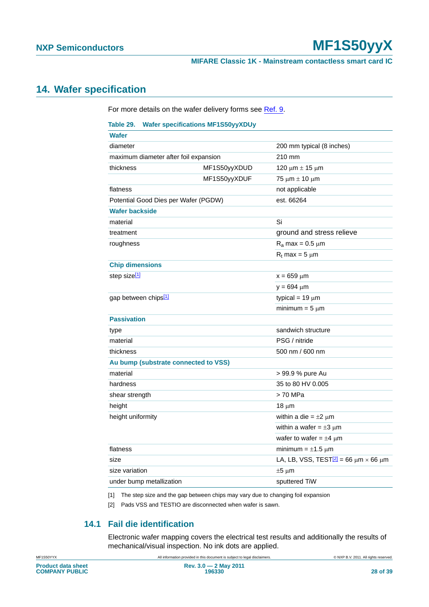#### **MIFARE Classic 1K - Mainstream contactless smart card IC**

# <span id="page-27-3"></span>**14. Wafer specification**

For more details on the wafer delivery forms see [Ref. 9](#page-32-6).

### <span id="page-27-2"></span>**Table 29. Wafer specifications MF1S50yyXDUy**

| <b>Wafer</b>                          |              |                                                        |
|---------------------------------------|--------------|--------------------------------------------------------|
| diameter                              |              | 200 mm typical (8 inches)                              |
| maximum diameter after foil expansion |              | 210 mm                                                 |
| thickness                             | MF1S50yyXDUD | 120 μm $±$ 15 μm                                       |
|                                       | MF1S50yyXDUF | 75 μm $±$ 10 μm                                        |
| flatness                              |              | not applicable                                         |
| Potential Good Dies per Wafer (PGDW)  |              | est. 66264                                             |
| <b>Wafer backside</b>                 |              |                                                        |
| material                              |              | Si                                                     |
| treatment                             |              | ground and stress relieve                              |
| roughness                             |              | $R_a$ max = 0.5 $\mu$ m                                |
|                                       |              | $R_t$ max = 5 $\mu$ m                                  |
| <b>Chip dimensions</b>                |              |                                                        |
| step size <sup>[1]</sup>              |              | $x = 659 \mu m$                                        |
|                                       |              | $y = 694 \mu m$                                        |
| gap between chips <sup>[1]</sup>      |              | typical = $19 \mu m$                                   |
|                                       |              | minimum = $5 \mu m$                                    |
| <b>Passivation</b>                    |              |                                                        |
| type                                  |              | sandwich structure                                     |
| material                              |              | PSG / nitride                                          |
| thickness                             |              | 500 nm / 600 nm                                        |
| Au bump (substrate connected to VSS)  |              |                                                        |
| material                              |              | > 99.9 % pure Au                                       |
| hardness                              |              | 35 to 80 HV 0.005                                      |
| shear strength                        |              | > 70 MPa                                               |
| height                                |              | $18 \mu m$                                             |
| height uniformity                     |              | within a die = $\pm 2 \mu m$                           |
|                                       |              | within a wafer = $\pm 3 \mu m$                         |
|                                       |              | wafer to wafer = $\pm 4$ µm                            |
| flatness                              |              | minimum = $\pm$ 1.5 µm                                 |
| size                                  |              | LA, LB, VSS, TEST $\sqrt{2}$ = 66 $\mu$ m × 66 $\mu$ m |
| size variation                        |              | $±5 \mu m$                                             |
| under bump metallization              |              | sputtered TiW                                          |

<span id="page-27-0"></span>[1] The step size and the gap between chips may vary due to changing foil expansion

<span id="page-27-1"></span>[2] Pads VSS and TESTIO are disconnected when wafer is sawn.

### **14.1 Fail die identification**

Electronic wafer mapping covers the electrical test results and additionally the results of mechanical/visual inspection. No ink dots are applied.

<span id="page-27-4"></span>MF1S50YYX **All information provided in this document** is subject to legal disclaimers. **ONXP B.V. 2011. All rights reserved.**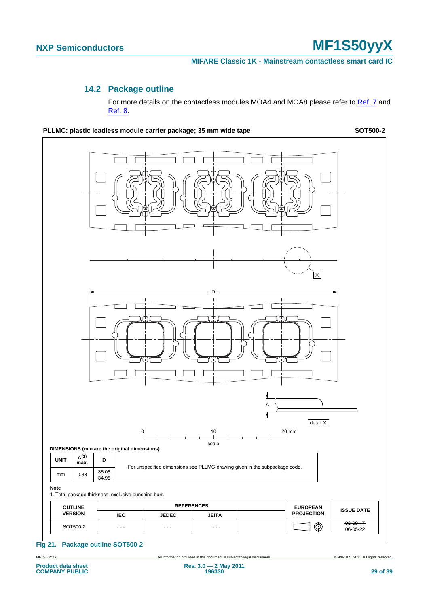### **14.2 Package outline**

For more details on the contactless modules MOA4 and MOA8 please refer to [Ref. 7](#page-32-7) and [Ref. 8.](#page-32-8)

<span id="page-28-1"></span>

<span id="page-28-0"></span>**Fig 21. Package outline SOT500-2**

MF1S50YYX All information provided in this document is subject to legal disclaimers. © NXP B.V. 2011. All rights reserved.

06-05-22 - - - - - - - - -

**Product data sheet COMPANY PUBLIC**

SOT500-2 03-09-17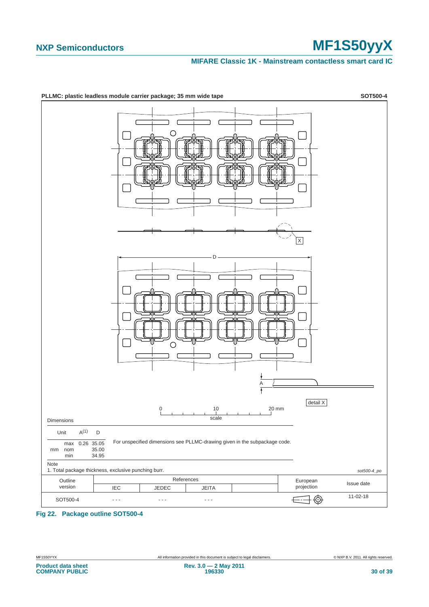#### **MIFARE Classic 1K - Mainstream contactless smart card IC**



<span id="page-29-0"></span>**Fig 22. Package outline SOT500-4**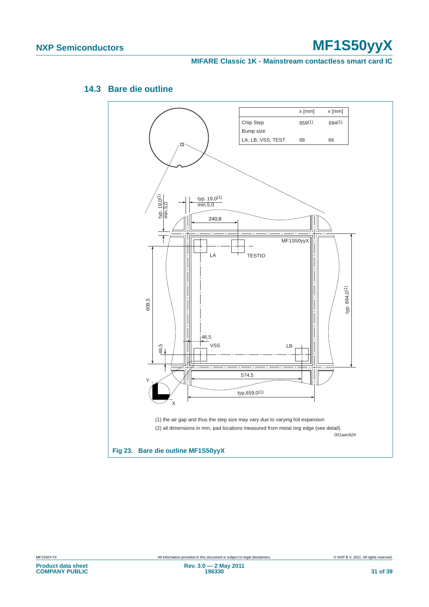#### **MIFARE Classic 1K - Mainstream contactless smart card IC**



# <span id="page-30-1"></span>**14.3 Bare die outline**

<span id="page-30-0"></span>**Product data sheet COMPANY PUBLIC**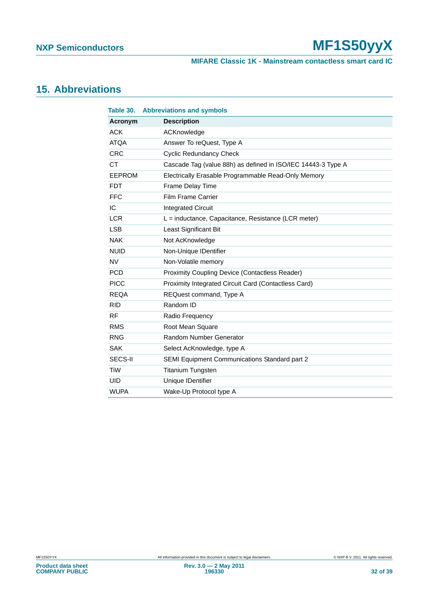**MIFARE Classic 1K - Mainstream contactless smart card IC**

# <span id="page-31-1"></span>**15. Abbreviations**

<span id="page-31-0"></span>

| Table 30.     | <b>Abbreviations and symbols</b>                             |
|---------------|--------------------------------------------------------------|
| Acronym       | <b>Description</b>                                           |
| <b>ACK</b>    | ACKnowledge                                                  |
| <b>ATQA</b>   | Answer To reQuest, Type A                                    |
| <b>CRC</b>    | <b>Cyclic Redundancy Check</b>                               |
| <b>CT</b>     | Cascade Tag (value 88h) as defined in ISO/IEC 14443-3 Type A |
| <b>EEPROM</b> | Electrically Erasable Programmable Read-Only Memory          |
| <b>FDT</b>    | Frame Delay Time                                             |
| <b>FFC</b>    | <b>Film Frame Carrier</b>                                    |
| IC            | <b>Integrated Circuit</b>                                    |
| <b>LCR</b>    | $L =$ inductance, Capacitance, Resistance (LCR meter)        |
| <b>LSB</b>    | Least Significant Bit                                        |
| <b>NAK</b>    | Not AcKnowledge                                              |
| <b>NUID</b>   | Non-Unique IDentifier                                        |
| <b>NV</b>     | Non-Volatile memory                                          |
| <b>PCD</b>    | <b>Proximity Coupling Device (Contactless Reader)</b>        |
| <b>PICC</b>   | Proximity Integrated Circuit Card (Contactless Card)         |
| <b>REQA</b>   | REQuest command, Type A                                      |
| <b>RID</b>    | Random ID                                                    |
| <b>RF</b>     | Radio Frequency                                              |
| <b>RMS</b>    | Root Mean Square                                             |
| <b>RNG</b>    | Random Number Generator                                      |
| <b>SAK</b>    | Select AcKnowledge, type A                                   |
| SECS-II       | SEMI Equipment Communications Standard part 2                |
| <b>TiW</b>    | <b>Titanium Tungsten</b>                                     |
| <b>UID</b>    | Unique IDentifier                                            |
| <b>WUPA</b>   | Wake-Up Protocol type A                                      |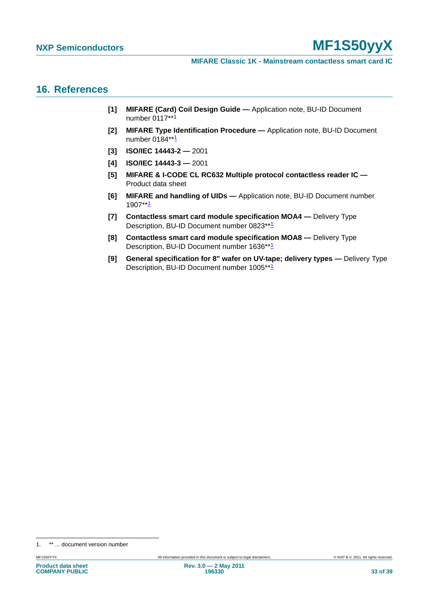### <span id="page-32-9"></span>**16. References**

- <span id="page-32-0"></span>**[1] MIFARE (Card) Coil Design Guide —** Application note, BU-ID Document number 0117\*\*<sup>1</sup>
- <span id="page-32-2"></span>**[2] MIFARE Type Identification Procedure —** Application note, BU-ID Document number  $0184**1$  $0184**1$  $0184**1$
- <span id="page-32-4"></span>**[3] ISO/IEC 14443-2 —** 2001
- <span id="page-32-3"></span>**[4] ISO/IEC 14443-3 —** 2001
- <span id="page-32-5"></span>**[5] MIFARE & I-CODE CL RC632 Multiple protocol contactless reader IC —**  Product data sheet
- <span id="page-32-1"></span>**[6] MIFARE and handling of UIDs —** Application note, BU-ID Document number 1907\*\*[1](#page-32-0)
- <span id="page-32-7"></span>**[7] Contactless smart card module specification MOA4 —** Delivery Type Description, BU-ID Document number 0823\*\*[1](#page-32-0)
- <span id="page-32-8"></span>**[8] Contactless smart card module specification MOA8 —** Delivery Type Description, BU-ID Document number [1](#page-32-0)636\*\*<sup>1</sup>
- <span id="page-32-6"></span>**[9] General specification for 8" wafer on UV-tape; delivery types —** Delivery Type Description, BU-ID Document number [1](#page-32-0)005\*\*1

<sup>1. \*\* ...</sup> document version number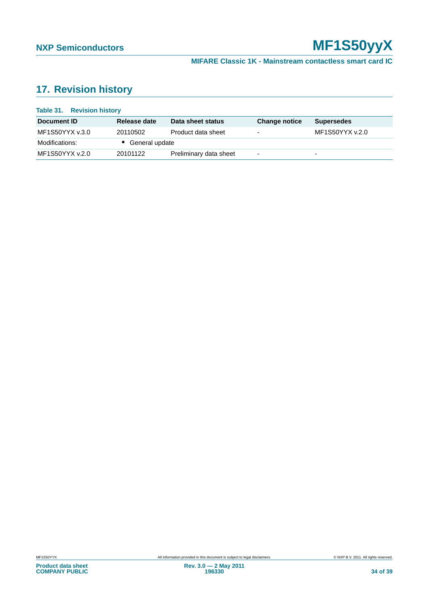# <span id="page-33-1"></span>**17. Revision history**

<span id="page-33-0"></span>

| <b>Table 31. Revision history</b> |                |                        |                          |                   |
|-----------------------------------|----------------|------------------------|--------------------------|-------------------|
| Document ID                       | Release date   | Data sheet status      | <b>Change notice</b>     | <b>Supersedes</b> |
| MF1S50YYX v.3.0                   | 20110502       | Product data sheet     | $\overline{\phantom{0}}$ | MF1S50YYX v.2.0   |
| Modifications:                    | General update |                        |                          |                   |
| MF1S50YYX v.2.0                   | 20101122       | Preliminary data sheet | $\overline{\phantom{0}}$ | -                 |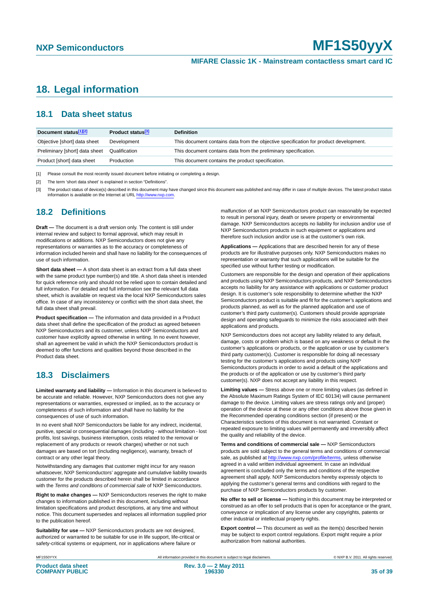# <span id="page-34-0"></span>**18. Legal information**

### <span id="page-34-1"></span>**18.1 Data sheet status**

| Document status[1][2]          | Product status <sup>[3]</sup> | <b>Definition</b>                                                                     |
|--------------------------------|-------------------------------|---------------------------------------------------------------------------------------|
| Objective [short] data sheet   | Development                   | This document contains data from the objective specification for product development. |
| Preliminary [short] data sheet | Qualification                 | This document contains data from the preliminary specification.                       |
| Product [short] data sheet     | Production                    | This document contains the product specification.                                     |

[1] Please consult the most recently issued document before initiating or completing a design.

[2] The term 'short data sheet' is explained in section "Definitions".

[3] The product status of device(s) described in this document may have changed since this document was published and may differ in case of multiple devices. The latest product status<br>information is available on the Intern

### <span id="page-34-2"></span>**18.2 Definitions**

**Draft —** The document is a draft version only. The content is still under internal review and subject to formal approval, which may result in modifications or additions. NXP Semiconductors does not give any representations or warranties as to the accuracy or completeness of information included herein and shall have no liability for the consequences of use of such information.

**Short data sheet —** A short data sheet is an extract from a full data sheet with the same product type number(s) and title. A short data sheet is intended for quick reference only and should not be relied upon to contain detailed and full information. For detailed and full information see the relevant full data sheet, which is available on request via the local NXP Semiconductors sales office. In case of any inconsistency or conflict with the short data sheet, the full data sheet shall prevail.

**Product specification —** The information and data provided in a Product data sheet shall define the specification of the product as agreed between NXP Semiconductors and its customer, unless NXP Semiconductors and customer have explicitly agreed otherwise in writing. In no event however, shall an agreement be valid in which the NXP Semiconductors product is deemed to offer functions and qualities beyond those described in the Product data sheet.

### <span id="page-34-3"></span>**18.3 Disclaimers**

**Limited warranty and liability —** Information in this document is believed to be accurate and reliable. However, NXP Semiconductors does not give any representations or warranties, expressed or implied, as to the accuracy or completeness of such information and shall have no liability for the consequences of use of such information.

In no event shall NXP Semiconductors be liable for any indirect, incidental, punitive, special or consequential damages (including - without limitation - lost profits, lost savings, business interruption, costs related to the removal or replacement of any products or rework charges) whether or not such damages are based on tort (including negligence), warranty, breach of contract or any other legal theory.

Notwithstanding any damages that customer might incur for any reason whatsoever, NXP Semiconductors' aggregate and cumulative liability towards customer for the products described herein shall be limited in accordance with the *Terms and conditions of commercial sale* of NXP Semiconductors.

**Right to make changes —** NXP Semiconductors reserves the right to make changes to information published in this document, including without limitation specifications and product descriptions, at any time and without notice. This document supersedes and replaces all information supplied prior to the publication hereof.

**Suitability for use —** NXP Semiconductors products are not designed, authorized or warranted to be suitable for use in life support, life-critical or safety-critical systems or equipment, nor in applications where failure or

malfunction of an NXP Semiconductors product can reasonably be expected to result in personal injury, death or severe property or environmental damage. NXP Semiconductors accepts no liability for inclusion and/or use of NXP Semiconductors products in such equipment or applications and therefore such inclusion and/or use is at the customer's own risk.

**Applications —** Applications that are described herein for any of these products are for illustrative purposes only. NXP Semiconductors makes no representation or warranty that such applications will be suitable for the specified use without further testing or modification.

Customers are responsible for the design and operation of their applications and products using NXP Semiconductors products, and NXP Semiconductors accepts no liability for any assistance with applications or customer product design. It is customer's sole responsibility to determine whether the NXP Semiconductors product is suitable and fit for the customer's applications and products planned, as well as for the planned application and use of customer's third party customer(s). Customers should provide appropriate design and operating safeguards to minimize the risks associated with their applications and products.

NXP Semiconductors does not accept any liability related to any default, damage, costs or problem which is based on any weakness or default in the customer's applications or products, or the application or use by customer's third party customer(s). Customer is responsible for doing all necessary testing for the customer's applications and products using NXP Semiconductors products in order to avoid a default of the applications and the products or of the application or use by customer's third party customer(s). NXP does not accept any liability in this respect.

**Limiting values —** Stress above one or more limiting values (as defined in the Absolute Maximum Ratings System of IEC 60134) will cause permanent damage to the device. Limiting values are stress ratings only and (proper) operation of the device at these or any other conditions above those given in the Recommended operating conditions section (if present) or the Characteristics sections of this document is not warranted. Constant or repeated exposure to limiting values will permanently and irreversibly affect the quality and reliability of the device.

**Terms and conditions of commercial sale —** NXP Semiconductors products are sold subject to the general terms and conditions of commercial sale, as published at<http://www.nxp.com/profile/terms>, unless otherwise agreed in a valid written individual agreement. In case an individual agreement is concluded only the terms and conditions of the respective agreement shall apply. NXP Semiconductors hereby expressly objects to applying the customer's general terms and conditions with regard to the purchase of NXP Semiconductors products by customer.

**No offer to sell or license —** Nothing in this document may be interpreted or construed as an offer to sell products that is open for acceptance or the grant, conveyance or implication of any license under any copyrights, patents or other industrial or intellectual property rights.

**Export control —** This document as well as the item(s) described herein may be subject to export control regulations. Export might require a prior authorization from national authorities.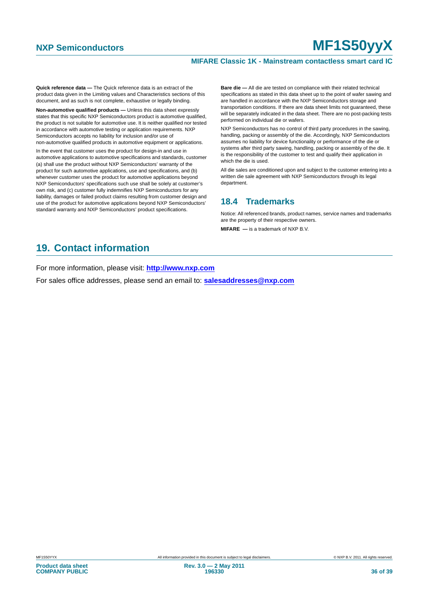#### **MIFARE Classic 1K - Mainstream contactless smart card IC**

**Quick reference data —** The Quick reference data is an extract of the product data given in the Limiting values and Characteristics sections of this document, and as such is not complete, exhaustive or legally binding.

**Non-automotive qualified products —** Unless this data sheet expressly states that this specific NXP Semiconductors product is automotive qualified, the product is not suitable for automotive use. It is neither qualified nor tested in accordance with automotive testing or application requirements. NXP Semiconductors accepts no liability for inclusion and/or use of non-automotive qualified products in automotive equipment or applications.

In the event that customer uses the product for design-in and use in automotive applications to automotive specifications and standards, customer (a) shall use the product without NXP Semiconductors' warranty of the product for such automotive applications, use and specifications, and (b) whenever customer uses the product for automotive applications beyond NXP Semiconductors' specifications such use shall be solely at customer's own risk, and (c) customer fully indemnifies NXP Semiconductors for any liability, damages or failed product claims resulting from customer design and use of the product for automotive applications beyond NXP Semiconductors' standard warranty and NXP Semiconductors' product specifications.

**Bare die —** All die are tested on compliance with their related technical specifications as stated in this data sheet up to the point of wafer sawing and are handled in accordance with the NXP Semiconductors storage and transportation conditions. If there are data sheet limits not guaranteed, these will be separately indicated in the data sheet. There are no post-packing tests performed on individual die or wafers.

NXP Semiconductors has no control of third party procedures in the sawing, handling, packing or assembly of the die. Accordingly, NXP Semiconductors assumes no liability for device functionality or performance of the die or systems after third party sawing, handling, packing or assembly of the die. It is the responsibility of the customer to test and qualify their application in which the die is used.

All die sales are conditioned upon and subject to the customer entering into a written die sale agreement with NXP Semiconductors through its legal department.

### <span id="page-35-0"></span>**18.4 Trademarks**

Notice: All referenced brands, product names, service names and trademarks are the property of their respective owners.

**MIFARE —** is a trademark of NXP B.V.

# <span id="page-35-1"></span>**19. Contact information**

For more information, please visit: **http://www.nxp.com**

For sales office addresses, please send an email to: **salesaddresses@nxp.com**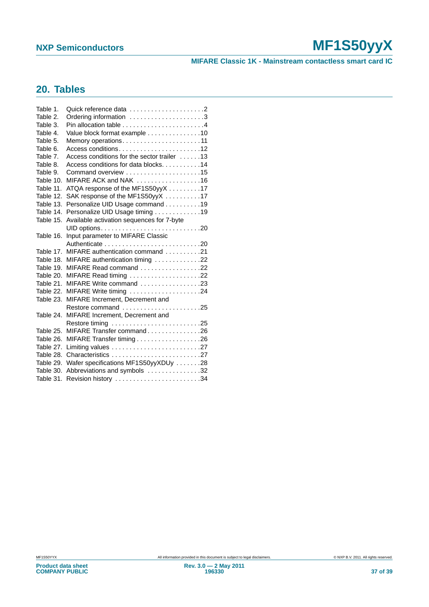**MIFARE Classic 1K - Mainstream contactless smart card IC**

# <span id="page-36-0"></span>**20. Tables**

| Ordering information 3                      |
|---------------------------------------------|
|                                             |
| Value block format example 10               |
| Memory operations11                         |
| Access conditions12                         |
| Access conditions for the sector trailer 13 |
| Access conditions for data blocks. 14       |
|                                             |
| MIFARE ACK and NAK 16                       |
| ATQA response of the MF1S50yyX 17           |
| SAK response of the MF1S50yyX 17            |
| Personalize UID Usage command 19            |
| Personalize UID Usage timing 19             |
| Available activation sequences for 7-byte   |
|                                             |
| Input parameter to MIFARE Classic           |
|                                             |
| MIFARE authentication command 21            |
| MIFARE authentication timing 22             |
| MIFARE Read command 22                      |
| MIFARE Read timing 22                       |
| MIFARE Write command 23                     |
| MIFARE Write timing 24                      |
| MIFARE Increment, Decrement and             |
| Restore command 25                          |
| MIFARE Increment, Decrement and             |
|                                             |
| MIFARE Transfer command26                   |
|                                             |
|                                             |
| Characteristics 27                          |
| Wafer specifications MF1S50yyXDUy 28        |
| Abbreviations and symbols 32                |
| Revision history 34                         |
|                                             |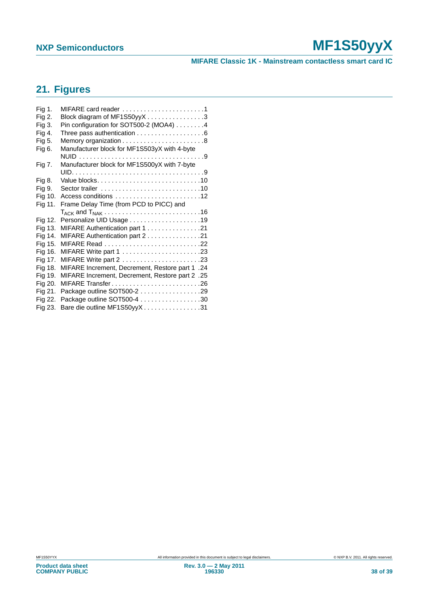**MIFARE Classic 1K - Mainstream contactless smart card IC**

# <span id="page-37-0"></span>**21. Figures**

| Fig 1.  | MIFARE card reader 1                                        |
|---------|-------------------------------------------------------------|
| Fig 2.  | Block diagram of MF1S50yyX3                                 |
| Fig 3.  | Pin configuration for SOT500-2 (MOA4) 4                     |
| Fig 4.  |                                                             |
| Fig 5.  |                                                             |
| Fig 6.  | Manufacturer block for MF1S503yX with 4-byte                |
|         |                                                             |
| Fig 7.  | Manufacturer block for MF1S500yX with 7-byte                |
|         |                                                             |
| Fig 8.  |                                                             |
| Fig 9.  |                                                             |
| Fig 10. |                                                             |
| Fig 11. | Frame Delay Time (from PCD to PICC) and                     |
|         |                                                             |
|         |                                                             |
| Fig 12. |                                                             |
| Fig 13. | MIFARE Authentication part 1 21                             |
| Fig 14. | MIFARE Authentication part 2 21                             |
| Fig 15. |                                                             |
| Fig 16. |                                                             |
| Fig 17. |                                                             |
| Fig 18. | MIFARE Increment, Decrement, Restore part 1.24              |
| Fig 19. | AllFARE Increment, Decrement, Restore part 2.25             |
| Fig 20. | MIFARE Transfer26                                           |
| Fig 21. | Package outline SOT500-2 29                                 |
| Fig 22. | Package outline SOT500-4 30<br>Bare die outline MF1S50yyX31 |